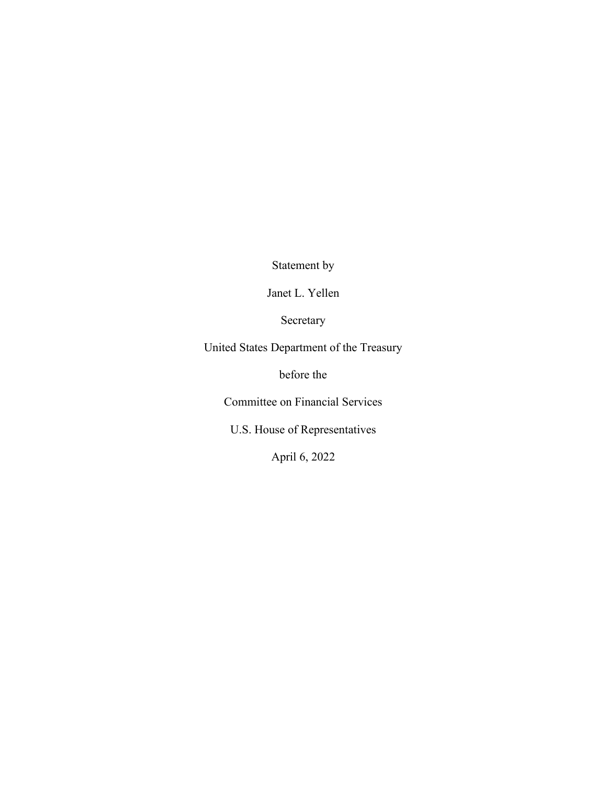Statement by

Janet L. Yellen

Secretary

United States Department of the Treasury

before the

Committee on Financial Services

U.S. House of Representatives

April 6, 2022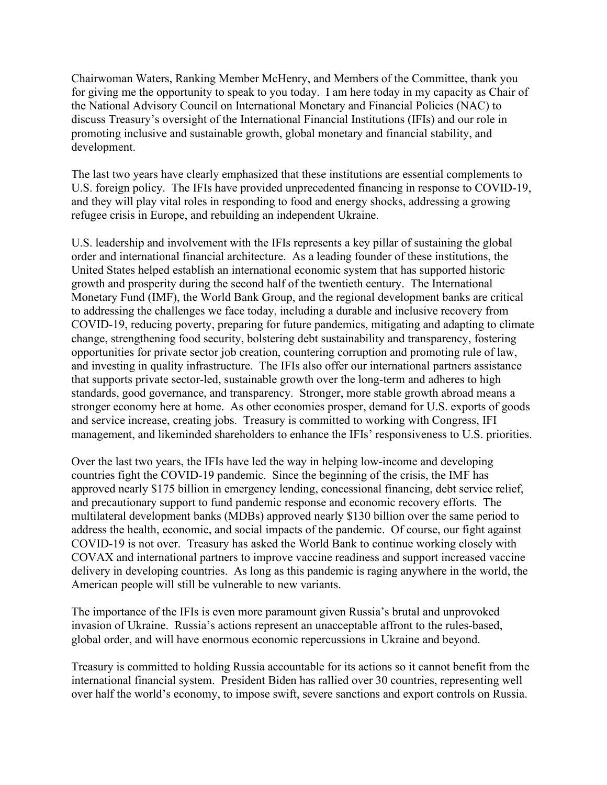Chairwoman Waters, Ranking Member McHenry, and Members of the Committee, thank you for giving me the opportunity to speak to you today. I am here today in my capacity as Chair of the National Advisory Council on International Monetary and Financial Policies (NAC) to discuss Treasury's oversight of the International Financial Institutions (IFIs) and our role in promoting inclusive and sustainable growth, global monetary and financial stability, and development.

The last two years have clearly emphasized that these institutions are essential complements to U.S. foreign policy. The IFIs have provided unprecedented financing in response to COVID-19, and they will play vital roles in responding to food and energy shocks, addressing a growing refugee crisis in Europe, and rebuilding an independent Ukraine.

U.S. leadership and involvement with the IFIs represents a key pillar of sustaining the global order and international financial architecture. As a leading founder of these institutions, the United States helped establish an international economic system that has supported historic growth and prosperity during the second half of the twentieth century. The International Monetary Fund (IMF), the World Bank Group, and the regional development banks are critical to addressing the challenges we face today, including a durable and inclusive recovery from COVID-19, reducing poverty, preparing for future pandemics, mitigating and adapting to climate change, strengthening food security, bolstering debt sustainability and transparency, fostering opportunities for private sector job creation, countering corruption and promoting rule of law, and investing in quality infrastructure. The IFIs also offer our international partners assistance that supports private sector-led, sustainable growth over the long-term and adheres to high standards, good governance, and transparency. Stronger, more stable growth abroad means a stronger economy here at home. As other economies prosper, demand for U.S. exports of goods and service increase, creating jobs. Treasury is committed to working with Congress, IFI management, and likeminded shareholders to enhance the IFIs' responsiveness to U.S. priorities.

Over the last two years, the IFIs have led the way in helping low-income and developing countries fight the COVID-19 pandemic. Since the beginning of the crisis, the IMF has approved nearly \$175 billion in emergency lending, concessional financing, debt service relief, and precautionary support to fund pandemic response and economic recovery efforts. The multilateral development banks (MDBs) approved nearly \$130 billion over the same period to address the health, economic, and social impacts of the pandemic. Of course, our fight against COVID-19 is not over. Treasury has asked the World Bank to continue working closely with COVAX and international partners to improve vaccine readiness and support increased vaccine delivery in developing countries. As long as this pandemic is raging anywhere in the world, the American people will still be vulnerable to new variants.

The importance of the IFIs is even more paramount given Russia's brutal and unprovoked invasion of Ukraine. Russia's actions represent an unacceptable affront to the rules-based, global order, and will have enormous economic repercussions in Ukraine and beyond.

Treasury is committed to holding Russia accountable for its actions so it cannot benefit from the international financial system. President Biden has rallied over 30 countries, representing well over half the world's economy, to impose swift, severe sanctions and export controls on Russia.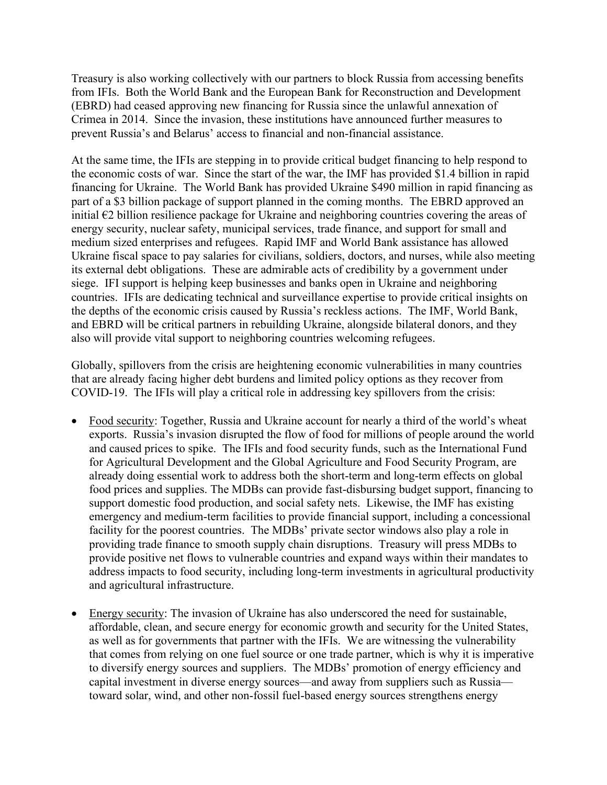Treasury is also working collectively with our partners to block Russia from accessing benefits from IFIs. Both the World Bank and the European Bank for Reconstruction and Development (EBRD) had ceased approving new financing for Russia since the unlawful annexation of Crimea in 2014. Since the invasion, these institutions have announced further measures to prevent Russia's and Belarus' access to financial and non-financial assistance.

At the same time, the IFIs are stepping in to provide critical budget financing to help respond to the economic costs of war. Since the start of the war, the IMF has provided \$1.4 billion in rapid financing for Ukraine. The World Bank has provided Ukraine \$490 million in rapid financing as part of a \$3 billion package of support planned in the coming months. The EBRD approved an initial  $\epsilon$ 2 billion resilience package for Ukraine and neighboring countries covering the areas of energy security, nuclear safety, municipal services, trade finance, and support for small and medium sized enterprises and refugees. Rapid IMF and World Bank assistance has allowed Ukraine fiscal space to pay salaries for civilians, soldiers, doctors, and nurses, while also meeting its external debt obligations. These are admirable acts of credibility by a government under siege. IFI support is helping keep businesses and banks open in Ukraine and neighboring countries. IFIs are dedicating technical and surveillance expertise to provide critical insights on the depths of the economic crisis caused by Russia's reckless actions. The IMF, World Bank, and EBRD will be critical partners in rebuilding Ukraine, alongside bilateral donors, and they also will provide vital support to neighboring countries welcoming refugees.

Globally, spillovers from the crisis are heightening economic vulnerabilities in many countries that are already facing higher debt burdens and limited policy options as they recover from COVID-19. The IFIs will play a critical role in addressing key spillovers from the crisis:

- Food security: Together, Russia and Ukraine account for nearly a third of the world's wheat exports. Russia's invasion disrupted the flow of food for millions of people around the world and caused prices to spike. The IFIs and food security funds, such as the International Fund for Agricultural Development and the Global Agriculture and Food Security Program, are already doing essential work to address both the short-term and long-term effects on global food prices and supplies. The MDBs can provide fast-disbursing budget support, financing to support domestic food production, and social safety nets. Likewise, the IMF has existing emergency and medium-term facilities to provide financial support, including a concessional facility for the poorest countries. The MDBs' private sector windows also play a role in providing trade finance to smooth supply chain disruptions. Treasury will press MDBs to provide positive net flows to vulnerable countries and expand ways within their mandates to address impacts to food security, including long-term investments in agricultural productivity and agricultural infrastructure.
- Energy security: The invasion of Ukraine has also underscored the need for sustainable, affordable, clean, and secure energy for economic growth and security for the United States, as well as for governments that partner with the IFIs. We are witnessing the vulnerability that comes from relying on one fuel source or one trade partner, which is why it is imperative to diversify energy sources and suppliers. The MDBs' promotion of energy efficiency and capital investment in diverse energy sources—and away from suppliers such as Russia toward solar, wind, and other non-fossil fuel-based energy sources strengthens energy